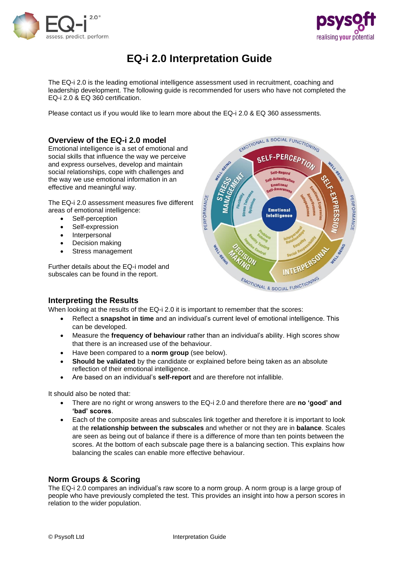



# **EQ-i 2.0 Interpretation Guide**

The EQ-i 2.0 is the leading emotional intelligence assessment used in recruitment, coaching and leadership development. The following guide is recommended for users who have not completed the EQ-i 2.0 & EQ 360 certification.

Please contact us if you would like to learn more about the EQ-i 2.0 & EQ 360 assessments.

## **Overview of the EQ-i 2.0 model**

Emotional intelligence is a set of emotional and social skills that influence the way we perceive and express ourselves, develop and maintain social relationships, cope with challenges and the way we use emotional information in an effective and meaningful way.

The EQ-i 2.0 assessment measures five different areas of emotional intelligence:

- Self-perception
- Self-expression
- **Interpersonal**
- Decision making
- Stress management

Further details about the EQ-i model and subscales can be found in the report.



### **Interpreting the Results**

When looking at the results of the EQ-i 2.0 it is important to remember that the scores:

- Reflect a **snapshot in time** and an individual's current level of emotional intelligence. This can be developed.
- Measure the **frequency of behaviour** rather than an individual's ability. High scores show that there is an increased use of the behaviour.
- Have been compared to a **norm group** (see below).
- **Should be validated** by the candidate or explained before being taken as an absolute reflection of their emotional intelligence.
- Are based on an individual's **self-report** and are therefore not infallible.

It should also be noted that:

- There are no right or wrong answers to the EQ-i 2.0 and therefore there are **no 'good' and 'bad' scores**.
- Each of the composite areas and subscales link together and therefore it is important to look at the **relationship between the subscales** and whether or not they are in **balance**. Scales are seen as being out of balance if there is a difference of more than ten points between the scores. At the bottom of each subscale page there is a balancing section. This explains how balancing the scales can enable more effective behaviour.

### **Norm Groups & Scoring**

The EQ-i 2.0 compares an individual's raw score to a norm group. A norm group is a large group of people who have previously completed the test. This provides an insight into how a person scores in relation to the wider population.